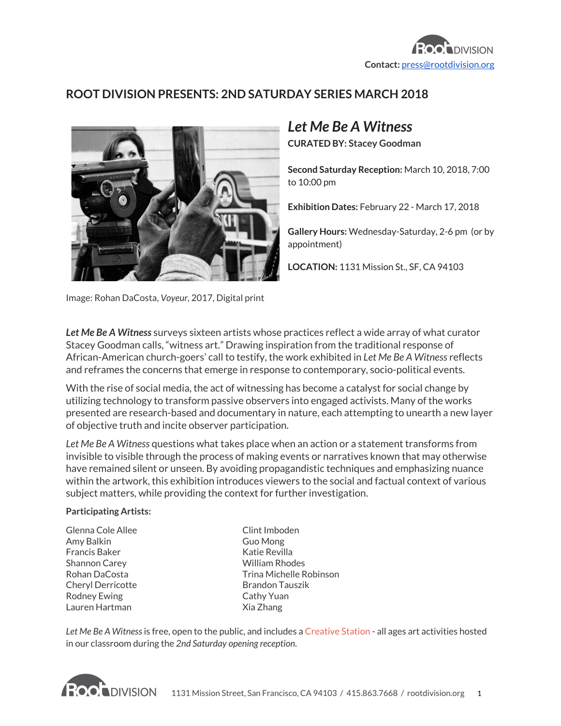

## **ROOT DIVISION PRESENTS: 2ND SATURDAY SERIES MARCH 2018**



## *Let Me Be A Witness*

**CURATED BY: Stacey Goodman**

**Second Saturday Reception:** March 10, 2018, 7:00 to 10:00 pm

**Exhibition Dates:** February 22 - March 17, 2018

**Gallery Hours:** Wednesday-Saturday, 2-6 pm (or by appointment)

**LOCATION:** 1131 Mission St., SF, CA 94103

Image: Rohan DaCosta, *Voyeur,* 2017, Digital print

*Let Me Be A Witness*surveys sixteen artists whose practices reflect a wide array of what curator Stacey Goodman calls, "witness art." Drawing inspiration from the traditional response of African-American church-goers' call to testify, the work exhibited in *Let Me Be A Witness* reflects and reframes the concerns that emerge in response to contemporary, socio-political events.

With the rise of social media, the act of witnessing has become a catalyst for social change by utilizing technology to transform passive observers into engaged activists. Many of the works presented are research-based and documentary in nature, each attempting to unearth a new layer of objective truth and incite observer participation.

*Let Me Be A Witness* questions what takes place when an action or a statement transforms from invisible to visible through the process of making events or narratives known that may otherwise have remained silent or unseen. By avoiding propagandistic techniques and emphasizing nuance within the artwork, this exhibition introduces viewers to the social and factual context of various subject matters, while providing the context for further investigation.

## **Participating Artists:**

Glenna Cole Allee Amy Balkin Francis Baker Shannon Carey Rohan DaCosta Cheryl Derricotte Rodney Ewing Lauren Hartman

Clint Imboden Guo Mong Katie Revilla William Rhodes Trina Michelle Robinson Brandon Tauszik Cathy Yuan Xia Zhang

*Let Me Be A Witness*is free, open to the public, and includes a [Creative](https://www.rootdivision.org/youth-education/creative-station) Station - all ages art activities hosted in our classroom during the *2nd Saturday opening reception*.